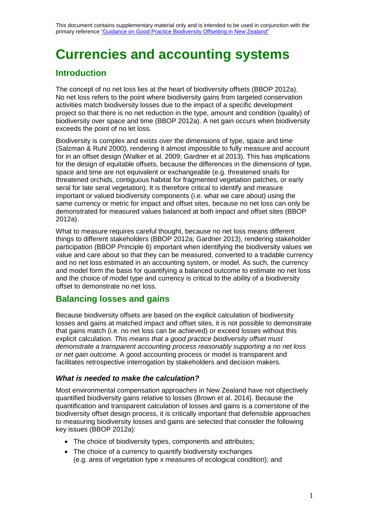# **Currencies and accounting systems**

### **Introduction**

The concept of no net loss lies at the heart of biodiversity offsets (BBOP 2012a). No net loss refers to the point where biodiversity gains from targeted conservation activities match biodiversity losses due to the impact of a specific development project so that there is no net reduction in the type, amount and condition (quality) of biodiversity over space and time (BBOP 2012a). A net gain occurs when biodiversity exceeds the point of no let loss.

Biodiversity is complex and exists over the dimensions of type, space and time (Salzman & Ruhl 2000), rendering it almost impossible to fully measure and account for in an offset design (Walker et al. 2009; Gardner et al 2013). This has implications for the design of equitable offsets, because the differences in the dimensions of type, space and time are not equivalent or exchangeable (e.g. threatened snails for threatened orchids, contiguous habitat for fragmented vegetation patches, or early seral for late seral vegetation). It is therefore critical to identify and measure important or valued biodiversity components (i.e. what we care about) using the same currency or metric for impact and offset sites, because no net loss can only be demonstrated for measured values balanced at both impact and offset sites (BBOP 2012a).

What to measure requires careful thought, because no net loss means different things to different stakeholders (BBOP 2012a; Gardner 2013), rendering stakeholder participation (BBOP Principle 6) important when identifying the biodiversity values we value and care about so that they can be measured, converted to a tradable currency and no net loss estimated in an accounting system, or model. As such, the currency and model form the basis for quantifying a balanced outcome to estimate no net loss and the choice of model type and currency is critical to the ability of a biodiversity offset to demonstrate no net loss.

### **Balancing losses and gains**

Because biodiversity offsets are based on the explicit calculation of biodiversity losses and gains at matched impact and offset sites, it is not possible to demonstrate that gains match (i.e. no net loss can be achieved) or exceed losses without this explicit calculation. *This means that a good practice biodiversity offset must demonstrate a transparent accounting process reasonably supporting a no net loss or net gain outcome.* A good accounting process or model is transparent and facilitates retrospective interrogation by stakeholders and decision makers.

### *What is needed to make the calculation?*

Most environmental compensation approaches in New Zealand have not objectively quantified biodiversity gains relative to losses (Brown et al. 2014). Because the quantification and transparent calculation of losses and gains is a cornerstone of the biodiversity offset design process, it is critically important that defensible approaches to measuring biodiversity losses and gains are selected that consider the following key issues (BBOP 2012a):

- The choice of biodiversity types, components and attributes;
- The choice of a currency to quantify biodiversity exchanges (e.g. area of vegetation type x measures of ecological condition); and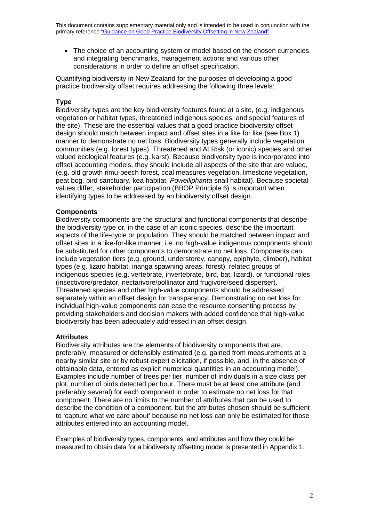• The choice of an accounting system or model based on the chosen currencies and integrating benchmarks, management actions and various other considerations in order to define an offset specification.

Quantifying biodiversity in New Zealand for the purposes of developing a good practice biodiversity offset requires addressing the following three levels:

### **Type**

Biodiversity types are the key biodiversity features found at a site, (e.g. indigenous vegetation or habitat types, threatened indigenous species, and special features of the site). These are the essential values that a good practice biodiversity offset design should match between impact and offset sites in a like for like (see Box 1) manner to demonstrate no net loss. Biodiversity types generally include vegetation communities (e.g. forest types), Threatened and At Risk (or iconic) species and other valued ecological features (e.g. karst). Because biodiversity type is incorporated into offset accounting models, they should include all aspects of the site that are valued, (e.g. old growth rimu-beech forest, coal measures vegetation, limestone vegetation, peat bog, bird sanctuary, kea habitat, *Powelliphanta* snail habitat). Because societal values differ, stakeholder participation (BBOP Principle 6) is important when identifying types to be addressed by an biodiversity offset design.

### **Components**

Biodiversity components are the structural and functional components that describe the biodiversity type or, in the case of an iconic species, describe the important aspects of the life-cycle or population. They should be matched between impact and offset sites in a like-for-like manner, i.e. no high-value indigenous components should be substituted for other components to demonstrate no net loss. Components can include vegetation tiers (e.g. ground, understorey, canopy, epiphyte, climber), habitat types (e.g. lizard habitat, inanga spawning areas, forest), related groups of indigenous species (e.g. vertebrate, invertebrate, bird, bat, lizard), or functional roles (insectivore/predator, nectarivore/pollinator and frugivore/seed disperser). Threatened species and other high-value components should be addressed separately within an offset design for transparency. Demonstrating no net loss for individual high-value components can ease the resource consenting process by providing stakeholders and decision makers with added confidence that high-value biodiversity has been adequately addressed in an offset design.

### **Attributes**

Biodiversity attributes are the elements of biodiversity components that are, preferably, measured or defensibly estimated (e.g. gained from measurements at a nearby similar site or by robust expert elicitation, if possible, and, in the absence of obtainable data, entered as explicit numerical quantities in an accounting model). Examples include number of trees per tier, number of individuals in a size class per plot, number of birds detected per hour. There must be at least one attribute (and preferably several) for each component in order to estimate no net loss for that component. There are no limits to the number of attributes that can be used to describe the condition of a component, but the attributes chosen should be sufficient to 'capture what we care about' because no net loss can only be estimated for those attributes entered into an accounting model.

Examples of biodiversity types, components, and attributes and how they could be measured to obtain data for a biodiversity offsetting model is presented in Appendix 1.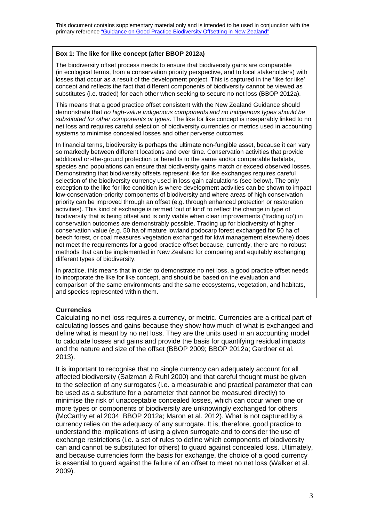### **Box 1: The like for like concept (after BBOP 2012a)**

The biodiversity offset process needs to ensure that biodiversity gains are comparable (in ecological terms, from a conservation priority perspective, and to local stakeholders) with losses that occur as a result of the development project. This is captured in the 'like for like' concept and reflects the fact that different components of biodiversity cannot be viewed as substitutes (i.e. traded) for each other when seeking to secure no net loss (BBOP 2012a).

This means that a good practice offset consistent with the New Zealand Guidance should demonstrate that *no high-value indigenous components and no indigenous types should be substituted for other components or types*. The like for like concept is inseparably linked to no net loss and requires careful selection of biodiversity currencies or metrics used in accounting systems to minimise concealed losses and other perverse outcomes.

In financial terms, biodiversity is perhaps the ultimate non-fungible asset, because it can vary so markedly between different locations and over time. Conservation activities that provide additional on-the-ground protection or benefits to the same and/or comparable habitats, species and populations can ensure that biodiversity gains match or exceed observed losses. Demonstrating that biodiversity offsets represent like for like exchanges requires careful selection of the biodiversity currency used in loss-gain calculations (see below). The only exception to the like for like condition is where development activities can be shown to impact low-conservation-priority components of biodiversity and where areas of high conservation priority can be improved through an offset (e.g. through enhanced protection or restoration activities). This kind of exchange is termed 'out of kind' to reflect the change in type of biodiversity that is being offset and is only viable when clear improvements ('trading up') in conservation outcomes are demonstrably possible. Trading up for biodiversity of higher conservation value (e.g. 50 ha of mature lowland podocarp forest exchanged for 50 ha of beech forest, or coal measures vegetation exchanged for kiwi management elsewhere) does not meet the requirements for a good practice offset because, currently, there are no robust methods that can be implemented in New Zealand for comparing and equitably exchanging different types of biodiversity.

In practice, this means that in order to demonstrate no net loss, a good practice offset needs to incorporate the like for like concept, and should be based on the evaluation and comparison of the same environments and the same ecosystems, vegetation, and habitats, and species represented within them.

### **Currencies**

Calculating no net loss requires a currency, or metric. Currencies are a critical part of calculating losses and gains because they show how much of what is exchanged and define what is meant by no net loss. They are the units used in an accounting model to calculate losses and gains and provide the basis for quantifying residual impacts and the nature and size of the offset (BBOP 2009; BBOP 2012a; Gardner et al. 2013).

It is important to recognise that no single currency can adequately account for all affected biodiversity (Salzman & Ruhl 2000) and that careful thought must be given to the selection of any surrogates (i.e. a measurable and practical parameter that can be used as a substitute for a parameter that cannot be measured directly) to minimise the risk of unacceptable concealed losses, which can occur when one or more types or components of biodiversity are unknowingly exchanged for others (McCarthy et al 2004; BBOP 2012a; Maron et al. 2012). What is not captured by a currency relies on the adequacy of any surrogate. It is, therefore, good practice to understand the implications of using a given surrogate and to consider the use of exchange restrictions (i.e. a set of rules to define which components of biodiversity can and cannot be substituted for others) to guard against concealed loss. Ultimately, and because currencies form the basis for exchange, the choice of a good currency is essential to guard against the failure of an offset to meet no net loss (Walker et al. 2009).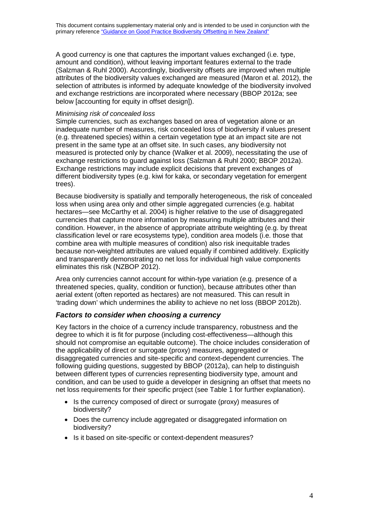A good currency is one that captures the important values exchanged (i.e. type, amount and condition), without leaving important features external to the trade (Salzman & Ruhl 2000). Accordingly, biodiversity offsets are improved when multiple attributes of the biodiversity values exchanged are measured (Maron et al. 2012), the selection of attributes is informed by adequate knowledge of the biodiversity involved and exchange restrictions are incorporated where necessary (BBOP 2012a; see below [accounting for equity in offset design]).

#### *Minimising risk of concealed loss*

Simple currencies, such as exchanges based on area of vegetation alone or an inadequate number of measures, risk concealed loss of biodiversity if values present (e.g. threatened species) within a certain vegetation type at an impact site are not present in the same type at an offset site. In such cases, any biodiversity not measured is protected only by chance (Walker et al. 2009), necessitating the use of exchange restrictions to guard against loss (Salzman & Ruhl 2000; BBOP 2012a). Exchange restrictions may include explicit decisions that prevent exchanges of different biodiversity types (e.g. kiwi for kaka, or secondary vegetation for emergent trees).

Because biodiversity is spatially and temporally heterogeneous, the risk of concealed loss when using area only and other simple aggregated currencies (e.g. habitat hectares—see McCarthy et al. 2004) is higher relative to the use of disaggregated currencies that capture more information by measuring multiple attributes and their condition. However, in the absence of appropriate attribute weighting (e.g. by threat classification level or rare ecosystems type), condition area models (i.e. those that combine area with multiple measures of condition) also risk inequitable trades because non-weighted attributes are valued equally if combined additively. Explicitly and transparently demonstrating no net loss for individual high value components eliminates this risk (NZBOP 2012).

Area only currencies cannot account for within-type variation (e.g. presence of a threatened species, quality, condition or function), because attributes other than aerial extent (often reported as hectares) are not measured. This can result in 'trading down' which undermines the ability to achieve no net loss (BBOP 2012b).

### *Factors to consider when choosing a currency*

Key factors in the choice of a currency include transparency, robustness and the degree to which it is fit for purpose (including cost-effectiveness—although this should not compromise an equitable outcome). The choice includes consideration of the applicability of direct or surrogate (proxy) measures, aggregated or disaggregated currencies and site-specific and context-dependent currencies. The following guiding questions, suggested by BBOP (2012a), can help to distinguish between different types of currencies representing biodiversity type, amount and condition, and can be used to guide a developer in designing an offset that meets no net loss requirements for their specific project (see Table 1 for further explanation).

- Is the currency composed of direct or surrogate (proxy) measures of biodiversity?
- Does the currency include aggregated or disaggregated information on biodiversity?
- Is it based on site-specific or context-dependent measures?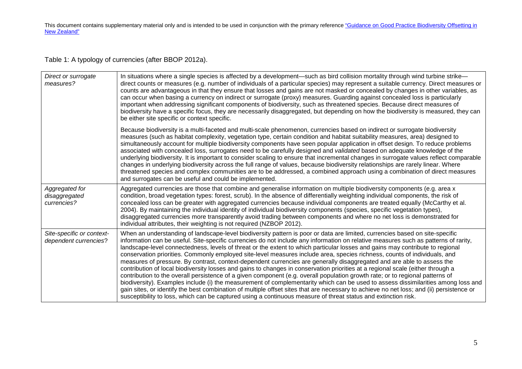Table 1: A typology of currencies (after BBOP 2012a).

| Direct or surrogate<br>measures?                   | In situations where a single species is affected by a development—such as bird collision mortality through wind turbine strike—<br>direct counts or measures (e.g. number of individuals of a particular species) may represent a suitable currency. Direct measures or<br>counts are advantageous in that they ensure that losses and gains are not masked or concealed by changes in other variables, as<br>can occur when basing a currency on indirect or surrogate (proxy) measures. Guarding against concealed loss is particularly<br>important when addressing significant components of biodiversity, such as threatened species. Because direct measures of<br>biodiversity have a specific focus, they are necessarily disaggregated, but depending on how the biodiversity is measured, they can<br>be either site specific or context specific.                                                                                                                                                                                                                                                                                                                                                                                                                                                                       |
|----------------------------------------------------|------------------------------------------------------------------------------------------------------------------------------------------------------------------------------------------------------------------------------------------------------------------------------------------------------------------------------------------------------------------------------------------------------------------------------------------------------------------------------------------------------------------------------------------------------------------------------------------------------------------------------------------------------------------------------------------------------------------------------------------------------------------------------------------------------------------------------------------------------------------------------------------------------------------------------------------------------------------------------------------------------------------------------------------------------------------------------------------------------------------------------------------------------------------------------------------------------------------------------------------------------------------------------------------------------------------------------------|
|                                                    | Because biodiversity is a multi-faceted and multi-scale phenomenon, currencies based on indirect or surrogate biodiversity<br>measures (such as habitat complexity, vegetation type, certain condition and habitat suitability measures, area) designed to<br>simultaneously account for multiple biodiversity components have seen popular application in offset design. To reduce problems<br>associated with concealed loss, surrogates need to be carefully designed and validated based on adequate knowledge of the<br>underlying biodiversity. It is important to consider scaling to ensure that incremental changes in surrogate values reflect comparable<br>changes in underlying biodiversity across the full range of values, because biodiversity relationships are rarely linear. Where<br>threatened species and complex communities are to be addressed, a combined approach using a combination of direct measures<br>and surrogates can be useful and could be implemented.                                                                                                                                                                                                                                                                                                                                     |
| Aggregated for<br>disaggregated<br>currencies?     | Aggregated currencies are those that combine and generalise information on multiple biodiversity components (e.g. area x<br>condition, broad vegetation types: forest, scrub). In the absence of differentially weighting individual components, the risk of<br>concealed loss can be greater with aggregated currencies because individual components are treated equally (McCarthy et al.<br>2004). By maintaining the individual identity of individual biodiversity components (species, specific vegetation types),<br>disaggregated currencies more transparently avoid trading between components and where no net loss is demonstrated for<br>individual attributes, their weighting is not required (NZBOP 2012).                                                                                                                                                                                                                                                                                                                                                                                                                                                                                                                                                                                                         |
| Site-specific or context-<br>dependent currencies? | When an understanding of landscape-level biodiversity pattern is poor or data are limited, currencies based on site-specific<br>information can be useful. Site-specific currencies do not include any information on relative measures such as patterns of rarity,<br>landscape-level connectedness, levels of threat or the extent to which particular losses and gains may contribute to regional<br>conservation priorities. Commonly employed site-level measures include area, species richness, counts of individuals, and<br>measures of pressure. By contrast, context-dependent currencies are generally disaggregated and are able to assess the<br>contribution of local biodiversity losses and gains to changes in conservation priorities at a regional scale (either through a<br>contribution to the overall persistence of a given component (e.g. overall population growth rate; or to regional patterns of<br>biodiversity). Examples include (i) the measurement of complementarity which can be used to assess dissimilarities among loss and<br>gain sites, or identify the best combination of multiple offset sites that are necessary to achieve no net loss; and (ii) persistence or<br>susceptibility to loss, which can be captured using a continuous measure of threat status and extinction risk. |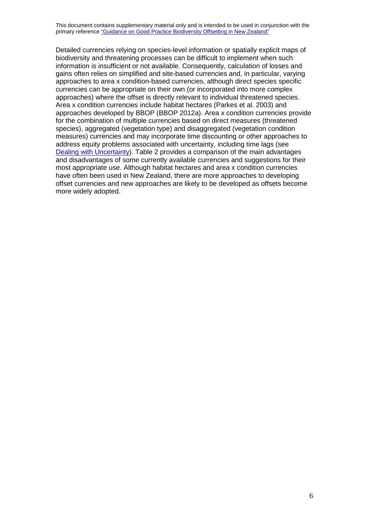Detailed currencies relying on species-level information or spatially explicit maps of biodiversity and threatening processes can be difficult to implement when such information is insufficient or not available. Consequently, calculation of losses and gains often relies on simplified and site-based currencies and, in particular, varying approaches to area x condition-based currencies, although direct species specific currencies can be appropriate on their own (or incorporated into more complex approaches) where the offset is directly relevant to individual threatened species. Area x condition currencies include habitat hectares (Parkes et al. 2003) and approaches developed by BBOP (BBOP 2012a). Area x condition currencies provide for the combination of multiple currencies based on direct measures (threatened species), aggregated (vegetation type) and disaggregated (vegetation condition measures) currencies and may incorporate time discounting or other approaches to address equity problems associated with uncertainty, including time lags (see [Dealing with Uncertainty\)](http://www.doc.govt.nz/documents/our-work/biodiversity-offsets/dealing-with-uncertainty.pdf). Table 2 provides a comparison of the main advantages and disadvantages of some currently available currencies and suggestions for their most appropriate use. Although habitat hectares and area x condition currencies have often been used in New Zealand, there are more approaches to developing offset currencies and new approaches are likely to be developed as offsets become more widely adopted.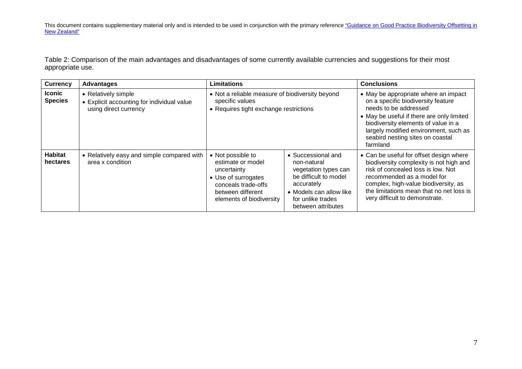Table 2: Comparison of the main advantages and disadvantages of some currently available currencies and suggestions for their most appropriate use.

| <b>Currency</b>                 | <b>Advantages</b>                                                                          | <b>Limitations</b>                                                                                                                                   |                                                                                                                                                                        | <b>Conclusions</b>                                                                                                                                                                                                                                                               |
|---------------------------------|--------------------------------------------------------------------------------------------|------------------------------------------------------------------------------------------------------------------------------------------------------|------------------------------------------------------------------------------------------------------------------------------------------------------------------------|----------------------------------------------------------------------------------------------------------------------------------------------------------------------------------------------------------------------------------------------------------------------------------|
| <b>Iconic</b><br><b>Species</b> | • Relatively simple<br>• Explicit accounting for individual value<br>using direct currency | • Not a reliable measure of biodiversity beyond<br>specific values<br>• Requires tight exchange restrictions                                         |                                                                                                                                                                        | • May be appropriate where an impact<br>on a specific biodiversity feature<br>needs to be addressed<br>• May be useful if there are only limited<br>biodiversity elements of value in a<br>largely modified environment, such as<br>seabird nesting sites on coastal<br>farmland |
| <b>Habitat</b><br>hectares      | • Relatively easy and simple compared with<br>area x condition                             | • Not possible to<br>estimate or model<br>uncertainty<br>• Use of surrogates<br>conceals trade-offs<br>between different<br>elements of biodiversity | • Successional and<br>non-natural<br>vegetation types can<br>be difficult to model<br>accurately<br>• Models can allow like<br>for unlike trades<br>between attributes | • Can be useful for offset design where<br>biodiversity complexity is not high and<br>risk of concealed loss is low. Not<br>recommended as a model for<br>complex, high-value biodiversity, as<br>the limitations mean that no net loss is<br>very difficult to demonstrate.     |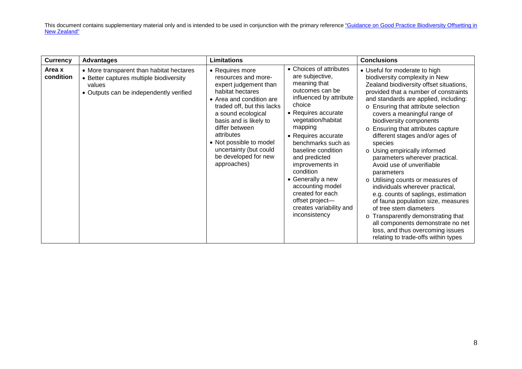| <b>Currency</b>     | <b>Advantages</b>                                                                                                                        | <b>Limitations</b>                                                                                                                                                                                                                                                                                                        |                                                                                                                                                                                                                                                                                                                                                                                                                            | <b>Conclusions</b>                                                                                                                                                                                                                                                                                                                                                                                                                                                                                                                                                                                                                                                                                                                                                                                                                   |
|---------------------|------------------------------------------------------------------------------------------------------------------------------------------|---------------------------------------------------------------------------------------------------------------------------------------------------------------------------------------------------------------------------------------------------------------------------------------------------------------------------|----------------------------------------------------------------------------------------------------------------------------------------------------------------------------------------------------------------------------------------------------------------------------------------------------------------------------------------------------------------------------------------------------------------------------|--------------------------------------------------------------------------------------------------------------------------------------------------------------------------------------------------------------------------------------------------------------------------------------------------------------------------------------------------------------------------------------------------------------------------------------------------------------------------------------------------------------------------------------------------------------------------------------------------------------------------------------------------------------------------------------------------------------------------------------------------------------------------------------------------------------------------------------|
| Area x<br>condition | • More transparent than habitat hectares<br>• Better captures multiple biodiversity<br>values<br>• Outputs can be independently verified | • Requires more<br>resources and more-<br>expert judgement than<br>habitat hectares<br>• Area and condition are<br>traded off, but this lacks<br>a sound ecological<br>basis and is likely to<br>differ between<br>attributes<br>• Not possible to model<br>uncertainty (but could<br>be developed for new<br>approaches) | • Choices of attributes<br>are subjective,<br>meaning that<br>outcomes can be<br>influenced by attribute<br>choice<br>• Requires accurate<br>vegetation/habitat<br>mapping<br>• Requires accurate<br>benchmarks such as<br>baseline condition<br>and predicted<br>improvements in<br>condition<br>• Generally a new<br>accounting model<br>created for each<br>offset project-<br>creates variability and<br>inconsistency | • Useful for moderate to high<br>biodiversity complexity in New<br>Zealand biodiversity offset situations,<br>provided that a number of constraints<br>and standards are applied, including:<br>o Ensuring that attribute selection<br>covers a meaningful range of<br>biodiversity components<br>o Ensuring that attributes capture<br>different stages and/or ages of<br>species<br>o Using empirically informed<br>parameters wherever practical.<br>Avoid use of unverifiable<br>parameters<br>o Utilising counts or measures of<br>individuals wherever practical,<br>e.g. counts of saplings, estimation<br>of fauna population size, measures<br>of tree stem diameters<br>o Transparently demonstrating that<br>all components demonstrate no net<br>loss, and thus overcoming issues<br>relating to trade-offs within types |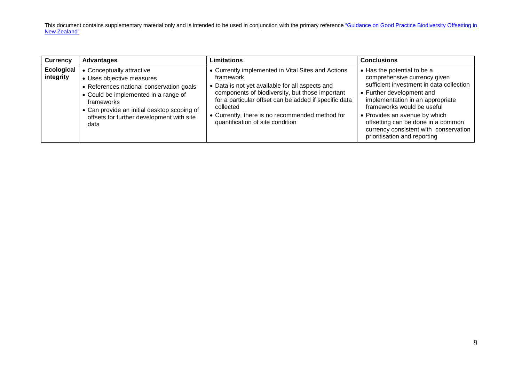| <b>Currency</b>                | <b>Advantages</b>                                                                                                                                                                                                                                            | Limitations                                                                                                                                                                                                                                                                                                                        | <b>Conclusions</b>                                                                                                                                                                                                                                                                                                                                     |
|--------------------------------|--------------------------------------------------------------------------------------------------------------------------------------------------------------------------------------------------------------------------------------------------------------|------------------------------------------------------------------------------------------------------------------------------------------------------------------------------------------------------------------------------------------------------------------------------------------------------------------------------------|--------------------------------------------------------------------------------------------------------------------------------------------------------------------------------------------------------------------------------------------------------------------------------------------------------------------------------------------------------|
| <b>Ecological</b><br>integrity | • Conceptually attractive<br>• Uses objective measures<br>• References national conservation goals<br>• Could be implemented in a range of<br>frameworks<br>• Can provide an initial desktop scoping of<br>offsets for further development with site<br>data | • Currently implemented in Vital Sites and Actions<br>framework<br>• Data is not yet available for all aspects and<br>components of biodiversity, but those important<br>for a particular offset can be added if specific data<br>collected<br>• Currently, there is no recommended method for<br>quantification of site condition | • Has the potential to be a<br>comprehensive currency given<br>sufficient investment in data collection<br>• Further development and<br>implementation in an appropriate<br>frameworks would be useful<br>• Provides an avenue by which<br>offsetting can be done in a common<br>currency consistent with conservation<br>prioritisation and reporting |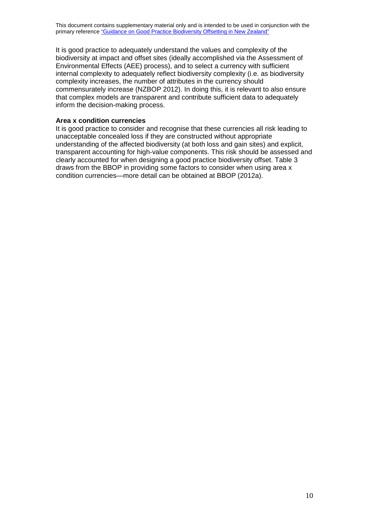It is good practice to adequately understand the values and complexity of the biodiversity at impact and offset sites (ideally accomplished via the Assessment of Environmental Effects (AEE) process), and to select a currency with sufficient internal complexity to adequately reflect biodiversity complexity (i.e. as biodiversity complexity increases, the number of attributes in the currency should commensurately increase (NZBOP 2012). In doing this, it is relevant to also ensure that complex models are transparent and contribute sufficient data to adequately inform the decision-making process.

### **Area x condition currencies**

It is good practice to consider and recognise that these currencies all risk leading to unacceptable concealed loss if they are constructed without appropriate understanding of the affected biodiversity (at both loss and gain sites) and explicit, transparent accounting for high-value components. This risk should be assessed and clearly accounted for when designing a good practice biodiversity offset. Table 3 draws from the BBOP in providing some factors to consider when using area x condition currencies—more detail can be obtained at BBOP (2012a).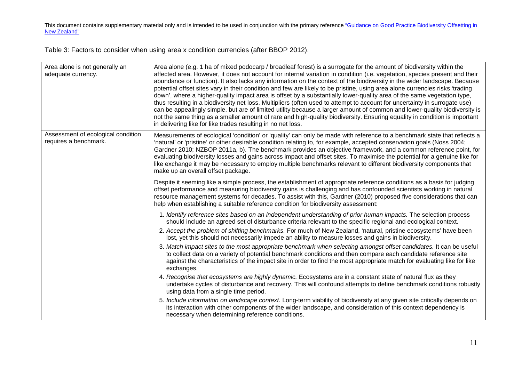Table 3: Factors to consider when using area x condition currencies (after BBOP 2012).

| Area alone is not generally an<br>adequate currency.        | Area alone (e.g. 1 ha of mixed podocarp / broadleaf forest) is a surrogate for the amount of biodiversity within the<br>affected area. However, it does not account for internal variation in condition (i.e. vegetation, species present and their<br>abundance or function). It also lacks any information on the context of the biodiversity in the wider landscape. Because<br>potential offset sites vary in their condition and few are likely to be pristine, using area alone currencies risks 'trading<br>down', where a higher-quality impact area is offset by a substantially lower-quality area of the same vegetation type,<br>thus resulting in a biodiversity net loss. Multipliers (often used to attempt to account for uncertainty in surrogate use)<br>can be appealingly simple, but are of limited utility because a larger amount of common and lower-quality biodiversity is<br>not the same thing as a smaller amount of rare and high-quality biodiversity. Ensuring equality in condition is important<br>in delivering like for like trades resulting in no net loss.                                                                                                                                                                                                                                                                                                                          |
|-------------------------------------------------------------|----------------------------------------------------------------------------------------------------------------------------------------------------------------------------------------------------------------------------------------------------------------------------------------------------------------------------------------------------------------------------------------------------------------------------------------------------------------------------------------------------------------------------------------------------------------------------------------------------------------------------------------------------------------------------------------------------------------------------------------------------------------------------------------------------------------------------------------------------------------------------------------------------------------------------------------------------------------------------------------------------------------------------------------------------------------------------------------------------------------------------------------------------------------------------------------------------------------------------------------------------------------------------------------------------------------------------------------------------------------------------------------------------------------------------|
| Assessment of ecological condition<br>requires a benchmark. | Measurements of ecological 'condition' or 'quality' can only be made with reference to a benchmark state that reflects a<br>'natural' or 'pristine' or other desirable condition relating to, for example, accepted conservation goals (Noss 2004;<br>Gardner 2010; NZBOP 2011a, b). The benchmark provides an objective framework, and a common reference point, for<br>evaluating biodiversity losses and gains across impact and offset sites. To maximise the potential for a genuine like for<br>like exchange it may be necessary to employ multiple benchmarks relevant to different biodiversity components that<br>make up an overall offset package.                                                                                                                                                                                                                                                                                                                                                                                                                                                                                                                                                                                                                                                                                                                                                             |
|                                                             | Despite it seeming like a simple process, the establishment of appropriate reference conditions as a basis for judging<br>offset performance and measuring biodiversity gains is challenging and has confounded scientists working in natural<br>resource management systems for decades. To assist with this, Gardner (2010) proposed five considerations that can<br>help when establishing a suitable reference condition for biodiversity assessment:                                                                                                                                                                                                                                                                                                                                                                                                                                                                                                                                                                                                                                                                                                                                                                                                                                                                                                                                                                  |
|                                                             | 1. Identify reference sites based on an independent understanding of prior human impacts. The selection process<br>should include an agreed set of disturbance criteria relevant to the specific regional and ecological context.<br>2. Accept the problem of shifting benchmarks. For much of New Zealand, 'natural, pristine ecosystems' have been<br>lost, yet this should not necessarily impede an ability to measure losses and gains in biodiversity.<br>3. Match impact sites to the most appropriate benchmark when selecting amongst offset candidates. It can be useful<br>to collect data on a variety of potential benchmark conditions and then compare each candidate reference site<br>against the characteristics of the impact site in order to find the most appropriate match for evaluating like for like<br>exchanges.<br>4. Recognise that ecosystems are highly dynamic. Ecosystems are in a constant state of natural flux as they<br>undertake cycles of disturbance and recovery. This will confound attempts to define benchmark conditions robustly<br>using data from a single time period.<br>5. Include information on landscape context. Long-term viability of biodiversity at any given site critically depends on<br>its interaction with other components of the wider landscape, and consideration of this context dependency is<br>necessary when determining reference conditions. |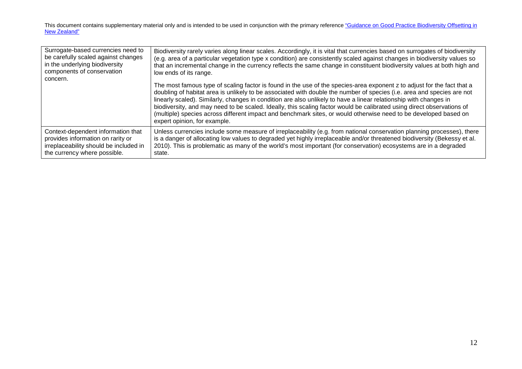| Surrogate-based currencies need to<br>be carefully scaled against changes<br>in the underlying biodiversity<br>components of conservation<br>concern. | Biodiversity rarely varies along linear scales. Accordingly, it is vital that currencies based on surrogates of biodiversity<br>(e.g. area of a particular vegetation type x condition) are consistently scaled against changes in biodiversity values so<br>that an incremental change in the currency reflects the same change in constituent biodiversity values at both high and<br>low ends of its range.<br>The most famous type of scaling factor is found in the use of the species-area exponent z to adjust for the fact that a<br>doubling of habitat area is unlikely to be associated with double the number of species (i.e. area and species are not<br>linearly scaled). Similarly, changes in condition are also unlikely to have a linear relationship with changes in<br>biodiversity, and may need to be scaled. Ideally, this scaling factor would be calibrated using direct observations of<br>(multiple) species across different impact and benchmark sites, or would otherwise need to be developed based on<br>expert opinion, for example. |
|-------------------------------------------------------------------------------------------------------------------------------------------------------|------------------------------------------------------------------------------------------------------------------------------------------------------------------------------------------------------------------------------------------------------------------------------------------------------------------------------------------------------------------------------------------------------------------------------------------------------------------------------------------------------------------------------------------------------------------------------------------------------------------------------------------------------------------------------------------------------------------------------------------------------------------------------------------------------------------------------------------------------------------------------------------------------------------------------------------------------------------------------------------------------------------------------------------------------------------------|
| Context-dependent information that                                                                                                                    | Unless currencies include some measure of irreplaceability (e.g. from national conservation planning processes), there                                                                                                                                                                                                                                                                                                                                                                                                                                                                                                                                                                                                                                                                                                                                                                                                                                                                                                                                                 |
| provides information on rarity or                                                                                                                     | is a danger of allocating low values to degraded yet highly irreplaceable and/or threatened biodiversity (Bekessy et al.                                                                                                                                                                                                                                                                                                                                                                                                                                                                                                                                                                                                                                                                                                                                                                                                                                                                                                                                               |
| irreplaceability should be included in                                                                                                                | 2010). This is problematic as many of the world's most important (for conservation) ecosystems are in a degraded                                                                                                                                                                                                                                                                                                                                                                                                                                                                                                                                                                                                                                                                                                                                                                                                                                                                                                                                                       |
| the currency where possible.                                                                                                                          | state.                                                                                                                                                                                                                                                                                                                                                                                                                                                                                                                                                                                                                                                                                                                                                                                                                                                                                                                                                                                                                                                                 |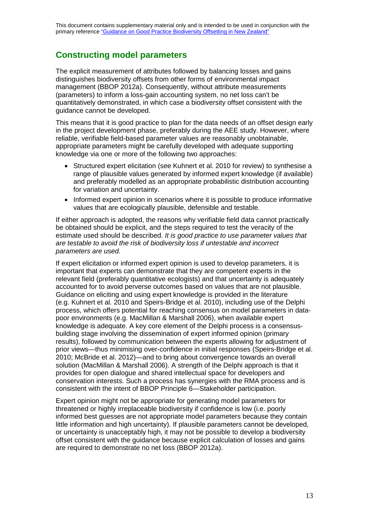### **Constructing model parameters**

The explicit measurement of attributes followed by balancing losses and gains distinguishes biodiversity offsets from other forms of environmental impact management (BBOP 2012a). Consequently, without attribute measurements (parameters) to inform a loss-gain accounting system, no net loss can't be quantitatively demonstrated, in which case a biodiversity offset consistent with the guidance cannot be developed.

This means that it is good practice to plan for the data needs of an offset design early in the project development phase, preferably during the AEE study. However, where reliable, verifiable field-based parameter values are reasonably unobtainable, appropriate parameters might be carefully developed with adequate supporting knowledge via one or more of the following two approaches:

- Structured expert elicitation (see Kuhnert et al. 2010 for review) to synthesise a range of plausible values generated by informed expert knowledge (if available) and preferably modelled as an appropriate probabilistic distribution accounting for variation and uncertainty.
- Informed expert opinion in scenarios where it is possible to produce informative values that are ecologically plausible, defensible and testable.

If either approach is adopted, the reasons why verifiable field data cannot practically be obtained should be explicit, and the steps required to test the veracity of the estimate used should be described. *It is good practice to use parameter values that are testable to avoid the risk of biodiversity loss if untestable and incorrect parameters are used.*

If expert elicitation or informed expert opinion is used to develop parameters, it is important that experts can demonstrate that they are competent experts in the relevant field (preferably quantitative ecologists) and that uncertainty is adequately accounted for to avoid perverse outcomes based on values that are not plausible. Guidance on eliciting and using expert knowledge is provided in the literature (e.g. Kuhnert et al. 2010 and Speirs-Bridge et al. 2010), including use of the Delphi process, which offers potential for reaching consensus on model parameters in datapoor environments (e.g. MacMillan & Marshall 2006), when available expert knowledge is adequate. A key core element of the Delphi process is a consensusbuilding stage involving the dissemination of expert informed opinion (primary results), followed by communication between the experts allowing for adjustment of prior views—thus minimising over-confidence in initial responses (Speirs-Bridge et al. 2010; McBride et al. 2012)—and to bring about convergence towards an overall solution (MacMillan & Marshall 2006). A strength of the Delphi approach is that it provides for open dialogue and shared intellectual space for developers and conservation interests. Such a process has synergies with the RMA process and is consistent with the intent of BBOP Principle 6—Stakeholder participation.

Expert opinion might not be appropriate for generating model parameters for threatened or highly irreplaceable biodiversity if confidence is low (i.e. poorly informed best guesses are not appropriate model parameters because they contain little information and high uncertainty). If plausible parameters cannot be developed, or uncertainty is unacceptably high, it may not be possible to develop a biodiversity offset consistent with the guidance because explicit calculation of losses and gains are required to demonstrate no net loss (BBOP 2012a).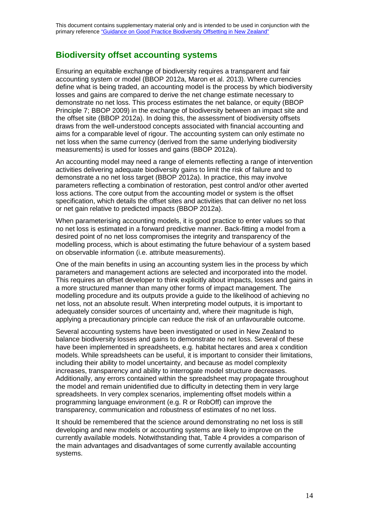### **Biodiversity offset accounting systems**

Ensuring an equitable exchange of biodiversity requires a transparent and fair accounting system or model (BBOP 2012a, Maron et al. 2013). Where currencies define what is being traded, an accounting model is the process by which biodiversity losses and gains are compared to derive the net change estimate necessary to demonstrate no net loss. This process estimates the net balance, or equity (BBOP Principle 7; BBOP 2009) in the exchange of biodiversity between an impact site and the offset site (BBOP 2012a). In doing this, the assessment of biodiversity offsets draws from the well-understood concepts associated with financial accounting and aims for a comparable level of rigour. The accounting system can only estimate no net loss when the same currency (derived from the same underlying biodiversity measurements) is used for losses and gains (BBOP 2012a).

An accounting model may need a range of elements reflecting a range of intervention activities delivering adequate biodiversity gains to limit the risk of failure and to demonstrate a no net loss target (BBOP 2012a). In practice, this may involve parameters reflecting a combination of restoration, pest control and/or other averted loss actions. The core output from the accounting model or system is the offset specification, which details the offset sites and activities that can deliver no net loss or net gain relative to predicted impacts (BBOP 2012a).

When parameterising accounting models, it is good practice to enter values so that no net loss is estimated in a forward predictive manner. Back-fitting a model from a desired point of no net loss compromises the integrity and transparency of the modelling process, which is about estimating the future behaviour of a system based on observable information (i.e. attribute measurements).

One of the main benefits in using an accounting system lies in the process by which parameters and management actions are selected and incorporated into the model. This requires an offset developer to think explicitly about impacts, losses and gains in a more structured manner than many other forms of impact management. The modelling procedure and its outputs provide a guide to the likelihood of achieving no net loss, not an absolute result. When interpreting model outputs, it is important to adequately consider sources of uncertainty and, where their magnitude is high, applying a precautionary principle can reduce the risk of an unfavourable outcome.

Several accounting systems have been investigated or used in New Zealand to balance biodiversity losses and gains to demonstrate no net loss. Several of these have been implemented in spreadsheets, e.g. habitat hectares and area x condition models. While spreadsheets can be useful, it is important to consider their limitations, including their ability to model uncertainty, and because as model complexity increases, transparency and ability to interrogate model structure decreases. Additionally, any errors contained within the spreadsheet may propagate throughout the model and remain unidentified due to difficulty in detecting them in very large spreadsheets. In very complex scenarios, implementing offset models within a programming language environment (e.g. R or RobOff) can improve the transparency, communication and robustness of estimates of no net loss.

It should be remembered that the science around demonstrating no net loss is still developing and new models or accounting systems are likely to improve on the currently available models. Notwithstanding that, Table 4 provides a comparison of the main advantages and disadvantages of some currently available accounting systems.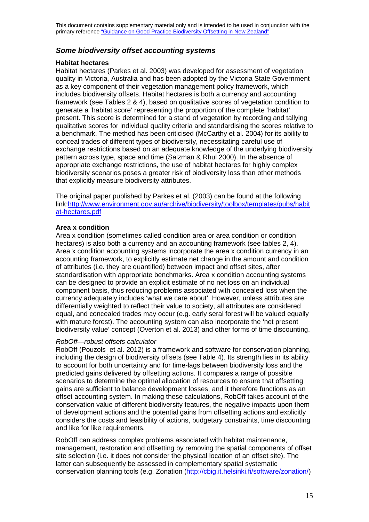### *Some biodiversity offset accounting systems*

### **Habitat hectares**

Habitat hectares (Parkes et al. 2003) was developed for assessment of vegetation quality in Victoria, Australia and has been adopted by the Victoria State Government as a key component of their vegetation management policy framework, which includes biodiversity offsets. Habitat hectares is both a currency and accounting framework (see Tables 2 & 4), based on qualitative scores of vegetation condition to generate a 'habitat score' representing the proportion of the complete 'habitat' present. This score is determined for a stand of vegetation by recording and tallying qualitative scores for individual quality criteria and standardising the scores relative to a benchmark. The method has been criticised (McCarthy et al. 2004) for its ability to conceal trades of different types of biodiversity, necessitating careful use of exchange restrictions based on an adequate knowledge of the underlying biodiversity pattern across type, space and time (Salzman & Rhul 2000). In the absence of appropriate exchange restrictions, the use of habitat hectares for highly complex biodiversity scenarios poses a greater risk of biodiversity loss than other methods that explicitly measure biodiversity attributes.

The original paper published by Parkes et al. (2003) can be found at the following link[:http://www.environment.gov.au/archive/biodiversity/toolbox/templates/pubs/habit](http://www.environment.gov.au/archive/biodiversity/toolbox/templates/pubs/habitat-hectares.pdf) [at-hectares.pdf](http://www.environment.gov.au/archive/biodiversity/toolbox/templates/pubs/habitat-hectares.pdf)

### **Area x condition**

Area x condition (sometimes called condition area or area condition or condition hectares) is also both a currency and an accounting framework (see tables 2, 4). Area x condition accounting systems incorporate the area x condition currency in an accounting framework, to explicitly estimate net change in the amount and condition of attributes (i.e. they are quantified) between impact and offset sites, after standardisation with appropriate benchmarks. Area x condition accounting systems can be designed to provide an explicit estimate of no net loss on an individual component basis, thus reducing problems associated with concealed loss when the currency adequately includes 'what we care about'. However, unless attributes are differentially weighted to reflect their value to society, all attributes are considered equal, and concealed trades may occur (e.g. early seral forest will be valued equally with mature forest). The accounting system can also incorporate the 'net present biodiversity value' concept (Overton et al. 2013) and other forms of time discounting.

#### *RobOff—robust offsets calculator*

RobOff (Pouzols et al. 2012) is a framework and software for conservation planning, including the design of biodiversity offsets (see Table 4). Its strength lies in its ability to account for both uncertainty and for time-lags between biodiversity loss and the predicted gains delivered by offsetting actions. It compares a range of possible scenarios to determine the optimal allocation of resources to ensure that offsetting gains are sufficient to balance development losses, and it therefore functions as an offset accounting system. In making these calculations, RobOff takes account of the conservation value of different biodiversity features, the negative impacts upon them of development actions and the potential gains from offsetting actions and explicitly considers the costs and feasibility of actions, budgetary constraints, time discounting and like for like requirements.

RobOff can address complex problems associated with habitat maintenance, management, restoration and offsetting by removing the spatial components of offset site selection (i.e. it does not consider the physical location of an offset site). The latter can subsequently be assessed in complementary spatial systematic conservation planning tools (e.g. Zonation [\(http://cbig.it.helsinki.fi/software/zonation/\)](http://cbig.it.helsinki.fi/software/zonation/)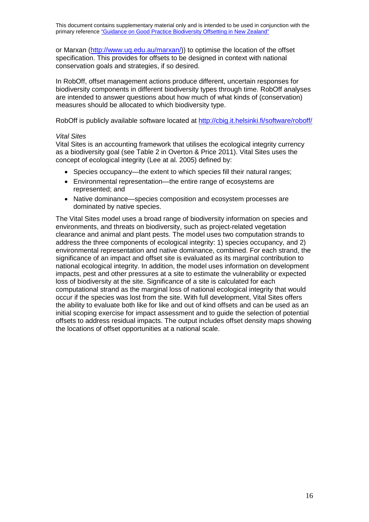or Marxan [\(http://www.uq.edu.au/marxan/\)](http://www.uq.edu.au/marxan/)) to optimise the location of the offset specification. This provides for offsets to be designed in context with national conservation goals and strategies, if so desired.

In RobOff, offset management actions produce different, uncertain responses for biodiversity components in different biodiversity types through time. RobOff analyses are intended to answer questions about how much of what kinds of (conservation) measures should be allocated to which biodiversity type.

RobOff is publicly available software located at <http://cbig.it.helsinki.fi/software/roboff/>

#### *Vital Sites*

Vital Sites is an accounting framework that utilises the ecological integrity currency as a biodiversity goal (see Table 2 in Overton & Price 2011). Vital Sites uses the concept of ecological integrity (Lee at al. 2005) defined by:

- Species occupancy—the extent to which species fill their natural ranges;
- Environmental representation—the entire range of ecosystems are represented; and
- Native dominance—species composition and ecosystem processes are dominated by native species.

The Vital Sites model uses a broad range of biodiversity information on species and environments, and threats on biodiversity, such as project-related vegetation clearance and animal and plant pests. The model uses two computation strands to address the three components of ecological integrity: 1) species occupancy, and 2) environmental representation and native dominance, combined. For each strand, the significance of an impact and offset site is evaluated as its marginal contribution to national ecological integrity. In addition, the model uses information on development impacts, pest and other pressures at a site to estimate the vulnerability or expected loss of biodiversity at the site. Significance of a site is calculated for each computational strand as the marginal loss of national ecological integrity that would occur if the species was lost from the site. With full development, Vital Sites offers the ability to evaluate both like for like and out of kind offsets and can be used as an initial scoping exercise for impact assessment and to guide the selection of potential offsets to address residual impacts. The output includes offset density maps showing the locations of offset opportunities at a national scale.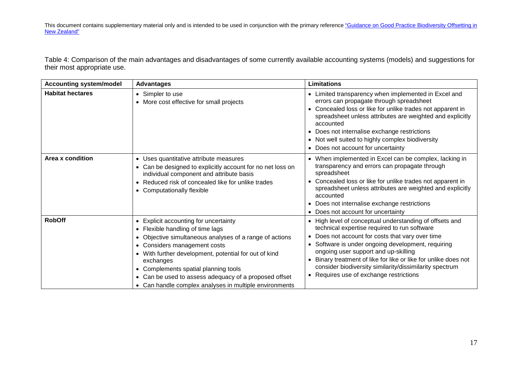Table 4: Comparison of the main advantages and disadvantages of some currently available accounting systems (models) and suggestions for their most appropriate use.

| <b>Accounting system/model</b> | <b>Advantages</b>                                                                                                                                                                                                                                                                                                                                                                                     | <b>Limitations</b>                                                                                                                                                                                                                                                                                                                                                                                                                        |
|--------------------------------|-------------------------------------------------------------------------------------------------------------------------------------------------------------------------------------------------------------------------------------------------------------------------------------------------------------------------------------------------------------------------------------------------------|-------------------------------------------------------------------------------------------------------------------------------------------------------------------------------------------------------------------------------------------------------------------------------------------------------------------------------------------------------------------------------------------------------------------------------------------|
| <b>Habitat hectares</b>        | • Simpler to use<br>• More cost effective for small projects                                                                                                                                                                                                                                                                                                                                          | • Limited transparency when implemented in Excel and<br>errors can propagate through spreadsheet<br>Concealed loss or like for unlike trades not apparent in<br>spreadsheet unless attributes are weighted and explicitly<br>accounted<br>• Does not internalise exchange restrictions<br>• Not well suited to highly complex biodiversity<br>• Does not account for uncertainty                                                          |
| Area x condition               | • Uses quantitative attribute measures<br>• Can be designed to explicitly account for no net loss on<br>individual component and attribute basis<br>• Reduced risk of concealed like for unlike trades<br>• Computationally flexible                                                                                                                                                                  | • When implemented in Excel can be complex, lacking in<br>transparency and errors can propagate through<br>spreadsheet<br>• Concealed loss or like for unlike trades not apparent in<br>spreadsheet unless attributes are weighted and explicitly<br>accounted<br>• Does not internalise exchange restrictions<br>• Does not account for uncertainty                                                                                      |
| <b>RobOff</b>                  | • Explicit accounting for uncertainty<br>• Flexible handling of time lags<br>• Objective simultaneous analyses of a range of actions<br>• Considers management costs<br>• With further development, potential for out of kind<br>exchanges<br>• Complements spatial planning tools<br>• Can be used to assess adequacy of a proposed offset<br>• Can handle complex analyses in multiple environments | • High level of conceptual understanding of offsets and<br>technical expertise required to run software<br>Does not account for costs that vary over time<br>$\bullet$<br>Software is under ongoing development, requiring<br>ongoing user support and up-skilling<br>Binary treatment of like for like or like for unlike does not<br>consider biodiversity similarity/dissimilarity spectrum<br>• Requires use of exchange restrictions |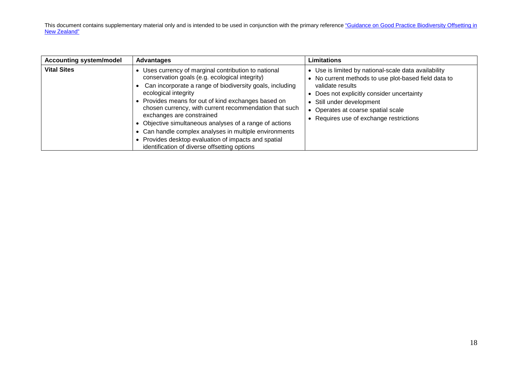| <b>Accounting system/model</b> | <b>Advantages</b>                                                                                                                                                                                                                                                                                                                                                                                                                                                                                                                                                 | <b>Limitations</b>                                                                                                                                                                                                                                                                           |
|--------------------------------|-------------------------------------------------------------------------------------------------------------------------------------------------------------------------------------------------------------------------------------------------------------------------------------------------------------------------------------------------------------------------------------------------------------------------------------------------------------------------------------------------------------------------------------------------------------------|----------------------------------------------------------------------------------------------------------------------------------------------------------------------------------------------------------------------------------------------------------------------------------------------|
| <b>Vital Sites</b>             | Uses currency of marginal contribution to national<br>conservation goals (e.g. ecological integrity)<br>Can incorporate a range of biodiversity goals, including<br>ecological integrity<br>• Provides means for out of kind exchanges based on<br>chosen currency, with current recommendation that such<br>exchanges are constrained<br>• Objective simultaneous analyses of a range of actions<br>Can handle complex analyses in multiple environments<br>• Provides desktop evaluation of impacts and spatial<br>identification of diverse offsetting options | • Use is limited by national-scale data availability<br>• No current methods to use plot-based field data to<br>validate results<br>• Does not explicitly consider uncertainty<br>• Still under development<br>• Operates at coarse spatial scale<br>• Requires use of exchange restrictions |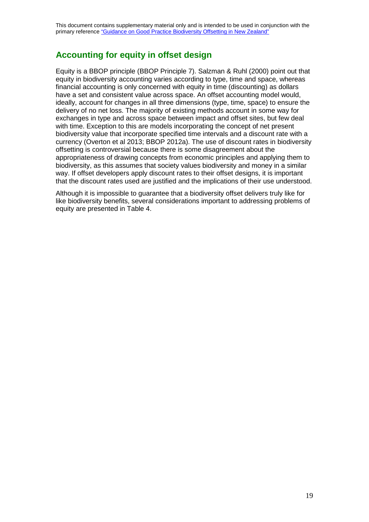### **Accounting for equity in offset design**

Equity is a BBOP principle (BBOP Principle 7). Salzman & Ruhl (2000) point out that equity in biodiversity accounting varies according to type, time and space, whereas financial accounting is only concerned with equity in time (discounting) as dollars have a set and consistent value across space. An offset accounting model would, ideally, account for changes in all three dimensions (type, time, space) to ensure the delivery of no net loss. The majority of existing methods account in some way for exchanges in type and across space between impact and offset sites, but few deal with time. Exception to this are models incorporating the concept of net present biodiversity value that incorporate specified time intervals and a discount rate with a currency (Overton et al 2013; BBOP 2012a). The use of discount rates in biodiversity offsetting is controversial because there is some disagreement about the appropriateness of drawing concepts from economic principles and applying them to biodiversity, as this assumes that society values biodiversity and money in a similar way. If offset developers apply discount rates to their offset designs, it is important that the discount rates used are justified and the implications of their use understood.

Although it is impossible to guarantee that a biodiversity offset delivers truly like for like biodiversity benefits, several considerations important to addressing problems of equity are presented in Table 4.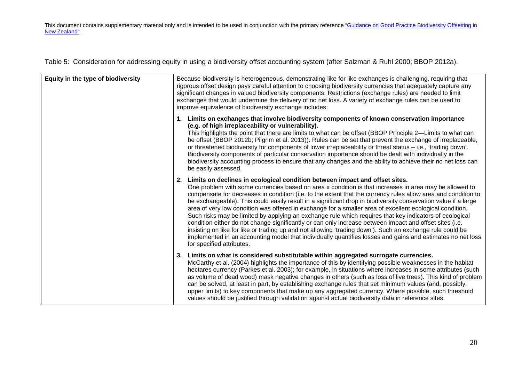Table 5: Consideration for addressing equity in using a biodiversity offset accounting system (after Salzman & Ruhl 2000; BBOP 2012a).

| Equity in the type of biodiversity | Because biodiversity is heterogeneous, demonstrating like for like exchanges is challenging, requiring that<br>rigorous offset design pays careful attention to choosing biodiversity currencies that adequately capture any<br>significant changes in valued biodiversity components. Restrictions (exchange rules) are needed to limit<br>exchanges that would undermine the delivery of no net loss. A variety of exchange rules can be used to<br>improve equivalence of biodiversity exchange includes:                                                                                                                                                                                                                                                                                                                                                                                                                                                                                                             |  |
|------------------------------------|--------------------------------------------------------------------------------------------------------------------------------------------------------------------------------------------------------------------------------------------------------------------------------------------------------------------------------------------------------------------------------------------------------------------------------------------------------------------------------------------------------------------------------------------------------------------------------------------------------------------------------------------------------------------------------------------------------------------------------------------------------------------------------------------------------------------------------------------------------------------------------------------------------------------------------------------------------------------------------------------------------------------------|--|
|                                    | 1. Limits on exchanges that involve biodiversity components of known conservation importance<br>(e.g. of high irreplaceability or vulnerability).<br>This highlights the point that there are limits to what can be offset (BBOP Principle 2—Limits to what can<br>be offset (BBOP 2012b; Pilgrim et al. 2013)). Rules can be set that prevent the exchange of irreplaceable,<br>or threatened biodiversity for components of lower irreplaceability or threat status - i.e., 'trading down'.<br>Biodiversity components of particular conservation importance should be dealt with individually in the<br>biodiversity accounting process to ensure that any changes and the ability to achieve their no net loss can<br>be easily assessed.                                                                                                                                                                                                                                                                            |  |
|                                    | Limits on declines in ecological condition between impact and offset sites.<br>2.<br>One problem with some currencies based on area x condition is that increases in area may be allowed to<br>compensate for decreases in condition (i.e. to the extent that the currency rules allow area and condition to<br>be exchangeable). This could easily result in a significant drop in biodiversity conservation value if a large<br>area of very low condition was offered in exchange for a smaller area of excellent ecological condition.<br>Such risks may be limited by applying an exchange rule which requires that key indicators of ecological<br>condition either do not change significantly or can only increase between impact and offset sites (i.e.<br>insisting on like for like or trading up and not allowing 'trading down'). Such an exchange rule could be<br>implemented in an accounting model that individually quantifies losses and gains and estimates no net loss<br>for specified attributes. |  |
|                                    | Limits on what is considered substitutable within aggregated surrogate currencies.<br>3.<br>McCarthy et al. (2004) highlights the importance of this by identifying possible weaknesses in the habitat<br>hectares currency (Parkes et al. 2003); for example, in situations where increases in some attributes (such<br>as volume of dead wood) mask negative changes in others (such as loss of live trees). This kind of problem<br>can be solved, at least in part, by establishing exchange rules that set minimum values (and, possibly,<br>upper limits) to key components that make up any aggregated currency. Where possible, such threshold<br>values should be justified through validation against actual biodiversity data in reference sites.                                                                                                                                                                                                                                                             |  |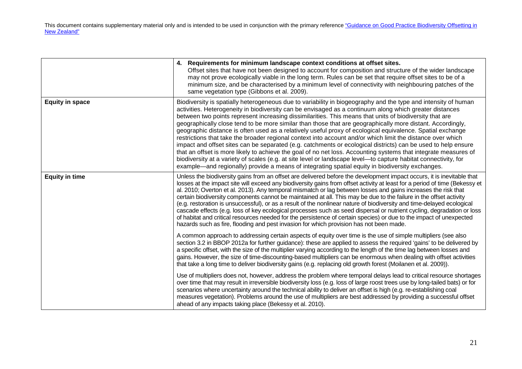|                        | 4. Requirements for minimum landscape context conditions at offset sites.<br>Offset sites that have not been designed to account for composition and structure of the wider landscape<br>may not prove ecologically viable in the long term. Rules can be set that require offset sites to be of a<br>minimum size, and be characterised by a minimum level of connectivity with neighbouring patches of the<br>same vegetation type (Gibbons et al. 2009).                                                                                                                                                                                                                                                                                                                                                                                                                                                                                                                                                                                                                                                                                |
|------------------------|--------------------------------------------------------------------------------------------------------------------------------------------------------------------------------------------------------------------------------------------------------------------------------------------------------------------------------------------------------------------------------------------------------------------------------------------------------------------------------------------------------------------------------------------------------------------------------------------------------------------------------------------------------------------------------------------------------------------------------------------------------------------------------------------------------------------------------------------------------------------------------------------------------------------------------------------------------------------------------------------------------------------------------------------------------------------------------------------------------------------------------------------|
| <b>Equity in space</b> | Biodiversity is spatially heterogeneous due to variability in biogeography and the type and intensity of human<br>activities. Heterogeneity in biodiversity can be envisaged as a continuum along which greater distances<br>between two points represent increasing dissimilarities. This means that units of biodiversity that are<br>geographically close tend to be more similar than those that are geographically more distant. Accordingly,<br>geographic distance is often used as a relatively useful proxy of ecological equivalence. Spatial exchange<br>restrictions that take the broader regional context into account and/or which limit the distance over which<br>impact and offset sites can be separated (e.g. catchments or ecological districts) can be used to help ensure<br>that an offset is more likely to achieve the goal of no net loss. Accounting systems that integrate measures of<br>biodiversity at a variety of scales (e.g. at site level or landscape level—to capture habitat connectivity, for<br>example—and regionally) provide a means of integrating spatial equity in biodiversity exchanges. |
| <b>Equity in time</b>  | Unless the biodiversity gains from an offset are delivered before the development impact occurs, it is inevitable that<br>losses at the impact site will exceed any biodiversity gains from offset activity at least for a period of time (Bekessy et<br>al. 2010; Overton et al. 2013). Any temporal mismatch or lag between losses and gains increases the risk that<br>certain biodiversity components cannot be maintained at all. This may be due to the failure in the offset activity<br>(e.g. restoration is unsuccessful), or as a result of the nonlinear nature of biodiversity and time-delayed ecological<br>cascade effects (e.g. loss of key ecological processes such as seed dispersal or nutrient cycling, degradation or loss<br>of habitat and critical resources needed for the persistence of certain species) or due to the impact of unexpected<br>hazards such as fire, flooding and pest invasion for which provision has not been made.                                                                                                                                                                         |
|                        | A common approach to addressing certain aspects of equity over time is the use of simple multipliers (see also<br>section 3.2 in BBOP 2012a for further guidance): these are applied to assess the required 'gains' to be delivered by<br>a specific offset, with the size of the multiplier varying according to the length of the time lag between losses and<br>gains. However, the size of time-discounting-based multipliers can be enormous when dealing with offset activities<br>that take a long time to deliver biodiversity gains (e.g. replacing old growth forest (Moilanen et al. 2009)).                                                                                                                                                                                                                                                                                                                                                                                                                                                                                                                                    |
|                        | Use of multipliers does not, however, address the problem where temporal delays lead to critical resource shortages<br>over time that may result in irreversible biodiversity loss (e.g. loss of large roost trees use by long-tailed bats) or for<br>scenarios where uncertainty around the technical ability to deliver an offset is high (e.g. re-establishing coal<br>measures vegetation). Problems around the use of multipliers are best addressed by providing a successful offset<br>ahead of any impacts taking place (Bekessy et al. 2010).                                                                                                                                                                                                                                                                                                                                                                                                                                                                                                                                                                                     |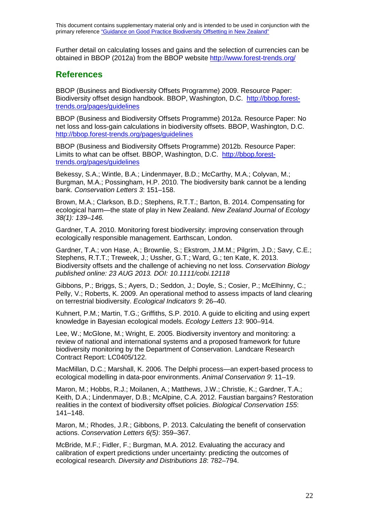Further detail on calculating losses and gains and the selection of currencies can be obtained in BBOP (2012a) from the BBOP website <http://www.forest-trends.org/>

### **References**

BBOP (Business and Biodiversity Offsets Programme) 2009. Resource Paper: Biodiversity offset design handbook. BBOP, Washington, D.C. [http://bbop.forest](http://bbop.forest-trends.org/pages/guidelines)[trends.org/pages/guidelines](http://bbop.forest-trends.org/pages/guidelines)

BBOP (Business and Biodiversity Offsets Programme) 2012a. Resource Paper: No net loss and loss-gain calculations in biodiversity offsets. BBOP, Washington, D.C. <http://bbop.forest-trends.org/pages/guidelines>

BBOP (Business and Biodiversity Offsets Programme) 2012b. Resource Paper: Limits to what can be offset. BBOP, Washington, D.C. [http://bbop.forest](http://bbop.forest-trends.org/pages/guidelines)[trends.org/pages/guidelines](http://bbop.forest-trends.org/pages/guidelines)

Bekessy, S.A.; Wintle, B.A.; Lindenmayer, B.D.; McCarthy, M.A.; Colyvan, M.; Burgman, M.A.; Possingham, H.P. 2010. The biodiversity bank cannot be a lending bank. *Conservation Letters 3*: 151–158.

Brown, M.A.; Clarkson, B.D.; Stephens, R.T.T.; Barton, B. 2014. Compensating for ecological harm—the state of play in New Zealand. *New Zealand Journal of Ecology 38(1): 139*–*146.*

Gardner, T.A. 2010. Monitoring forest biodiversity: improving conservation through ecologically responsible management. Earthscan, London.

Gardner, T.A.; von Hase, A.; Brownlie, S.; Ekstrom, J.M.M.; Pilgrim, J.D.; Savy, C.E.; Stephens, R.T.T.; Treweek, J.; Ussher, G.T.; Ward, G.; ten Kate, K. 2013. Biodiversity offsets and the challenge of achieving no net loss. *Conservation Biology published online: 23 AUG 2013. DOI: 10.1111/cobi.12118*

Gibbons, P.; Briggs, S.; Ayers, D.; Seddon, J.; Doyle, S.; Cosier, P.; McElhinny, C.; Pelly, V.; Roberts, K. 2009. An operational method to assess impacts of land clearing on terrestrial biodiversity. *Ecological Indicators 9*: 26–40.

Kuhnert, P.M.; Martin, T.G.; Griffiths, S.P. 2010. A guide to eliciting and using expert knowledge in Bayesian ecological models. *Ecology Letters 13*: 900–914.

Lee, W.; McGlone, M.; Wright, E. 2005. Biodiversity inventory and monitoring: a review of national and international systems and a proposed framework for future biodiversity monitoring by the Department of Conservation. Landcare Research Contract Report: LC0405/122.

MacMillan, D.C.; Marshall, K. 2006. The Delphi process—an expert-based process to ecological modelling in data-poor environments. *Animal Conservation 9*: 11–19.

Maron, M.; Hobbs, R.J.; Moilanen, A.; Matthews, J.W.; Christie, K.; Gardner, T.A.; Keith, D.A.; Lindenmayer, D.B.; McAlpine, C.A. 2012. Faustian bargains? Restoration realities in the context of biodiversity offset policies. *Biological Conservation 155*: 141–148.

Maron, M.; Rhodes, J.R.; Gibbons, P. 2013. Calculating the benefit of conservation actions. *Conservation Letters 6(5)*: 359–367.

McBride, M.F.; Fidler, F.; Burgman, M.A. 2012. Evaluating the accuracy and calibration of expert predictions under uncertainty: predicting the outcomes of ecological research. *Diversity and Distributions 18*: 782–794.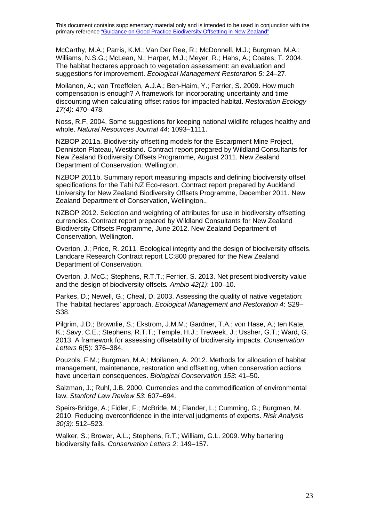McCarthy, M.A.; Parris, K.M.; Van Der Ree, R.; McDonnell, M.J.; Burgman, M.A.; Williams, N.S.G.; McLean, N.; Harper, M.J.; Meyer, R.; Hahs, A.; Coates, T. 2004. The habitat hectares approach to vegetation assessment: an evaluation and suggestions for improvement. *Ecological Management Restoration 5*: 24–27.

Moilanen, A.; van Treeffelen, A.J.A.; Ben-Haim, Y.; Ferrier, S. 2009. How much compensation is enough? A framework for incorporating uncertainty and time discounting when calculating offset ratios for impacted habitat. *Restoration Ecology 17(4)*: 470–478.

Noss, R.F. 2004. Some suggestions for keeping national wildlife refuges healthy and whole. *Natural Resources Journal 44*: 1093–1111.

NZBOP 2011a. Biodiversity offsetting models for the Escarpment Mine Project, Denniston Plateau, Westland. Contract report prepared by Wildland Consultants for New Zealand Biodiversity Offsets Programme, August 2011. New Zealand Department of Conservation, Wellington.

NZBOP 2011b. Summary report measuring impacts and defining biodiversity offset specifications for the Tahi NZ Eco-resort. Contract report prepared by Auckland University for New Zealand Biodiversity Offsets Programme, December 2011. New Zealand Department of Conservation, Wellington..

NZBOP 2012. Selection and weighting of attributes for use in biodiversity offsetting currencies. Contract report prepared by Wildland Consultants for New Zealand Biodiversity Offsets Programme, June 2012. New Zealand Department of Conservation, Wellington.

Overton, J.; Price, R. 2011. Ecological integrity and the design of biodiversity offsets. Landcare Research Contract report LC:800 prepared for the New Zealand Department of Conservation.

Overton, J. McC.; Stephens, R.T.T.; Ferrier, S. 2013. Net present biodiversity value and the design of biodiversity offsets*. Ambio 42(1)*: 100–10.

Parkes, D.; Newell, G.; Cheal, D. 2003. Assessing the quality of native vegetation: The 'habitat hectares' approach. *Ecological Management and Restoration 4*: S29– S38.

Pilgrim, J.D.; Brownlie, S.; Ekstrom, J.M.M.; Gardner, T.A.; von Hase, A.; ten Kate, K.; Savy, C.E.; Stephens, R.T.T.; Temple, H.J.; Treweek, J.; Ussher, G.T.; Ward, G. 2013. A framework for assessing offsetability of biodiversity impacts. *Conservation Letters* 6(5): 376–384.

Pouzols, F.M.; Burgman, M.A.; Moilanen, A. 2012. Methods for allocation of habitat management, maintenance, restoration and offsetting, when conservation actions have uncertain consequences. *Biological Conservation 153*: 41–50.

Salzman, J.; Ruhl, J.B. 2000. Currencies and the commodification of environmental law. *Stanford Law Review 53*: 607–694.

Speirs-Bridge, A.; Fidler, F.; McBride, M.; Flander, L.; Cumming, G.; Burgman, M. 2010. Reducing overconfidence in the interval judgments of experts. *Risk Analysis 30(3)*: 512–523.

Walker, S.; Brower, A.L.; Stephens, R.T.; William, G.L. 2009. Why bartering biodiversity fails. *Conservation Letters 2*: 149–157.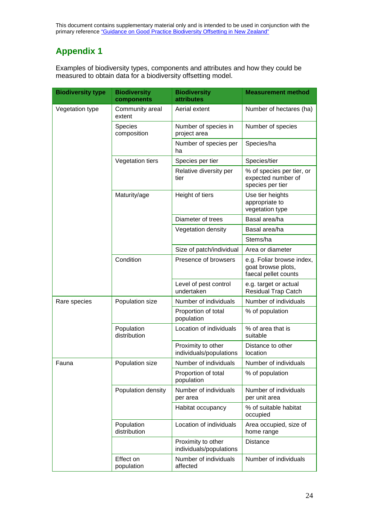## **Appendix 1**

Examples of biodiversity types, components and attributes and how they could be measured to obtain data for a biodiversity offsetting model.

| <b>Biodiversity type</b> | <b>Biodiversity</b><br>components | <b>Biodiversity</b><br><b>attributes</b>      | <b>Measurement method</b>                                               |
|--------------------------|-----------------------------------|-----------------------------------------------|-------------------------------------------------------------------------|
| Vegetation type          | Community areal<br>extent         | Aerial extent                                 | Number of hectares (ha)                                                 |
|                          | <b>Species</b><br>composition     | Number of species in<br>project area          | Number of species                                                       |
|                          |                                   | Number of species per<br>ha                   | Species/ha                                                              |
|                          | Vegetation tiers                  | Species per tier                              | Species/tier                                                            |
|                          |                                   | Relative diversity per<br>tier                | % of species per tier, or<br>expected number of<br>species per tier     |
|                          | Maturity/age                      | Height of tiers                               | Use tier heights<br>appropriate to<br>vegetation type                   |
|                          |                                   | Diameter of trees                             | Basal area/ha                                                           |
|                          |                                   | Vegetation density                            | Basal area/ha                                                           |
|                          |                                   |                                               | Stems/ha                                                                |
|                          |                                   | Size of patch/individual                      | Area or diameter                                                        |
|                          | Condition                         | Presence of browsers                          | e.g. Foliar browse index,<br>goat browse plots,<br>faecal pellet counts |
|                          |                                   | Level of pest control<br>undertaken           | e.g. target or actual<br><b>Residual Trap Catch</b>                     |
| Rare species             | Population size                   | Number of individuals                         | Number of individuals                                                   |
|                          |                                   | Proportion of total<br>population             | % of population                                                         |
|                          | Population<br>distribution        | Location of individuals                       | % of area that is<br>suitable                                           |
|                          |                                   | Proximity to other<br>individuals/populations | Distance to other<br>location                                           |
| Fauna                    | Population size                   | Number of individuals                         | Number of individuals                                                   |
|                          |                                   | Proportion of total<br>population             | % of population                                                         |
|                          | Population density                | Number of individuals<br>per area             | Number of individuals<br>per unit area                                  |
|                          |                                   | Habitat occupancy                             | % of suitable habitat<br>occupied                                       |
|                          | Population<br>distribution        | Location of individuals                       | Area occupied, size of<br>home range                                    |
|                          |                                   | Proximity to other<br>individuals/populations | <b>Distance</b>                                                         |
|                          | Effect on<br>population           | Number of individuals<br>affected             | Number of individuals                                                   |